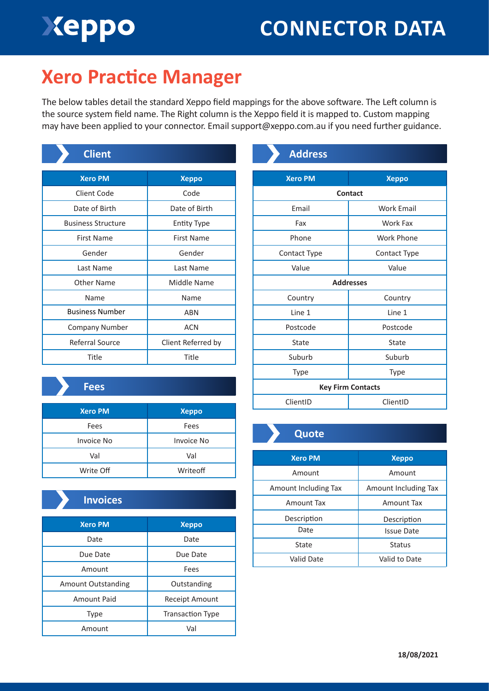# Xeppo

# **CONNECTOR DATA**

### **Xero Practice Manager**

The below tables detail the standard Xeppo field mappings for the above software. The Left column is the source system field name. The Right column is the Xeppo field it is mapped to. Custom mapping may have been applied to your connector. Email support@xeppo.com.au if you need further guidance.

| <b>Client</b>             |                    |
|---------------------------|--------------------|
| <b>Xero PM</b>            | <b>Xeppo</b>       |
| Client Code               | Code               |
| Date of Birth             | Date of Birth      |
| <b>Business Structure</b> | <b>Entity Type</b> |
| <b>First Name</b>         | <b>First Name</b>  |
| Gender                    | Gender             |
| Last Name                 | Last Name          |
| Other Name                | Middle Name        |
| Name                      | Name               |
| <b>Business Number</b>    | ABN                |
| <b>Company Number</b>     | <b>ACN</b>         |
| Referral Source           | Client Referred by |
| Title                     | Title              |

#### **Fees**

| <b>Xero PM</b>    | <b>Xeppo</b> |
|-------------------|--------------|
| Fees              | Fees         |
| <b>Invoice No</b> | Invoice No   |
| Val               | Val          |
| Write Off         | Writeoff     |

### **Invoices**

| <b>Xero PM</b>            | <b>Xeppo</b>            |
|---------------------------|-------------------------|
| Date                      | Date                    |
| Due Date                  | Due Date                |
| Amount                    | Fees                    |
| <b>Amount Outstanding</b> | Outstanding             |
| Amount Paid               | Receipt Amount          |
| Type                      | <b>Transaction Type</b> |
| Amount                    | Val                     |

| <b>Address</b>           |                   |  |
|--------------------------|-------------------|--|
| <b>Xero PM</b>           |                   |  |
|                          | <b>Xeppo</b>      |  |
| <b>Contact</b>           |                   |  |
| Email                    | <b>Work Email</b> |  |
| Fax                      | Work Fax          |  |
| Phone                    | Work Phone        |  |
| Contact Type             | Contact Type      |  |
| Value                    | Value             |  |
| <b>Addresses</b>         |                   |  |
| Country                  | Country           |  |
| Line 1                   | Line 1            |  |
| Postcode                 | Postcode          |  |
| State                    | State             |  |
| Suburb                   | Suburb            |  |
| Type                     | Type              |  |
| <b>Key Firm Contacts</b> |                   |  |
| ClientID                 | ClientID          |  |

### **Quote**

| <b>Xero PM</b>       | <b>Xeppo</b>         |
|----------------------|----------------------|
| Amount               | Amount               |
| Amount Including Tax | Amount Including Tax |
| Amount Tax           | Amount Tax           |
| Description          | Description          |
| Date                 | <b>Issue Date</b>    |
| State                | <b>Status</b>        |
| Valid Date           | Valid to Date        |